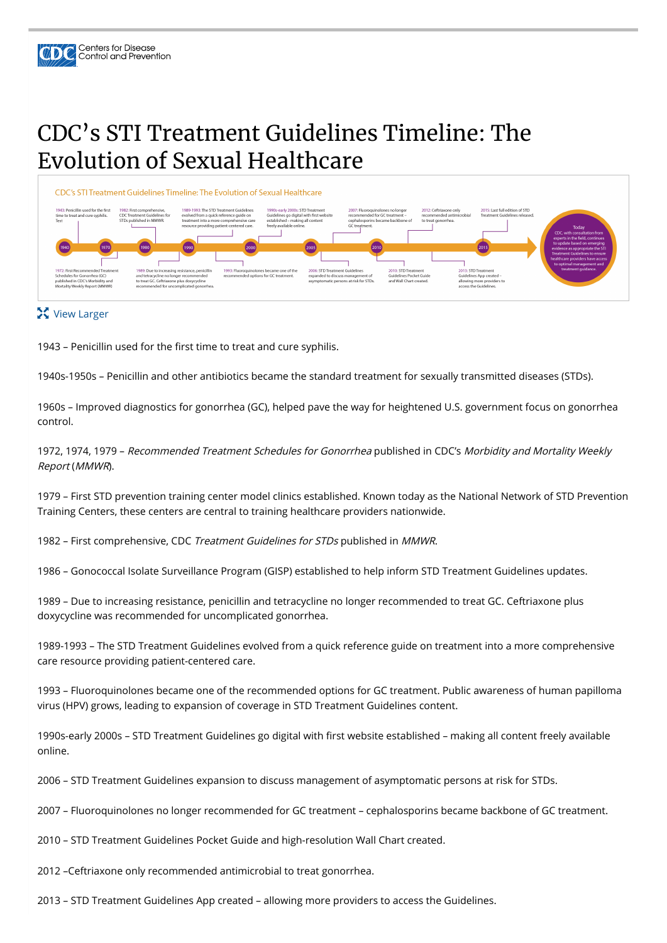

## CDC's STI Treatment Guidelines Timeline: The Evolution of Sexual Healthcare



## **X** View Larger

1943 – Penicillin used for the first time to treat and cure syphilis.

1940s-1950s – Penicillin and other antibiotics became the standard treatment for sexually transmitted diseases (STDs).

1960s – Improved diagnostics for gonorrhea (GC), helped pave the way for heightened U.S. government focus on gonorrhea control.

1972, 1974, 1979 – Recommended Treatment Schedules for Gonorrhea published in CDC's Morbidity and Mortality Weekly Report (MMWR).

1979 – First STD prevention training center model clinics established. Known today as the National Network of STD Prevention Training Centers, these centers are central to training healthcare providers nationwide.

1982 – First comprehensive, CDC Treatment Guidelines for STDs published in MMWR.

1986 – Gonococcal Isolate Surveillance Program (GISP) established to help inform STD Treatment Guidelines updates.

1989 – Due to increasing resistance, penicillin and tetracycline no longer recommended to treat GC. Ceftriaxone plus doxycycline was recommended for uncomplicated gonorrhea.

1989-1993 – The STD Treatment Guidelines evolved from a quick reference guide on treatment into a more comprehensive care resource providing patient-centered care.

1993 – Fluoroquinolones became one of the recommended options for GC treatment. Public awareness of human papilloma virus (HPV) grows, leading to expansion of coverage in STD Treatment Guidelines content.

1990s-early 2000s – STD Treatment Guidelines go digital with first website established – making all content freely available online.

2006 – STD Treatment Guidelines expansion to discuss management of asymptomatic persons at risk for STDs.

2007 – Fluoroquinolones no longer recommended for GC treatment – cephalosporins became backbone of GC treatment.

2010 – STD Treatment Guidelines Pocket Guide and high-resolution Wall Chart created.

2012 –Ceftriaxone only recommended antimicrobial to treat gonorrhea.

2013 – STD Treatment Guidelines App created – allowing more providers to access the Guidelines.